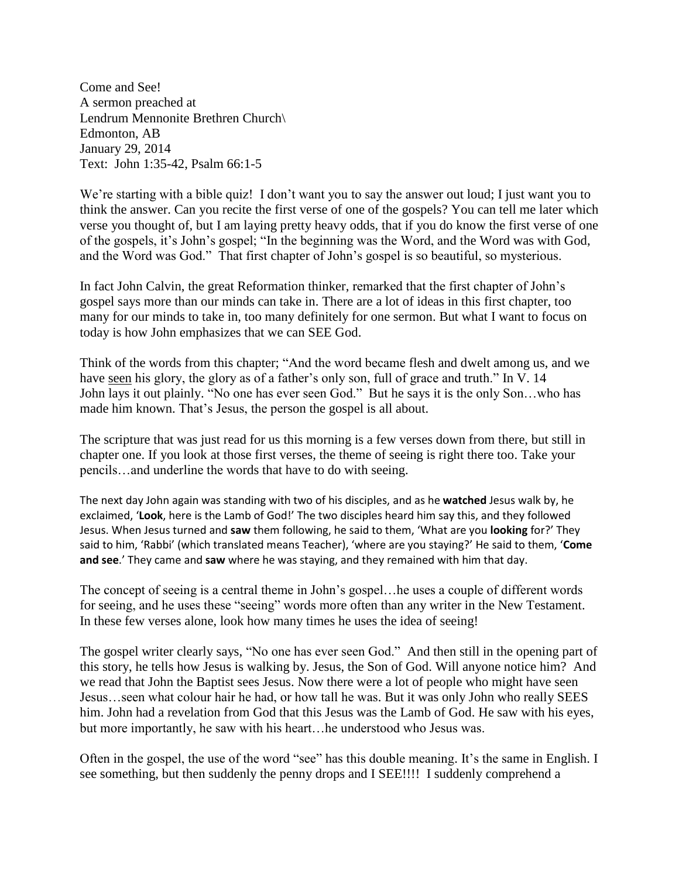Come and See! A sermon preached at Lendrum Mennonite Brethren Church\ Edmonton, AB January 29, 2014 Text: John 1:35-42, Psalm 66:1-5

We're starting with a bible quiz! I don't want you to say the answer out loud; I just want you to think the answer. Can you recite the first verse of one of the gospels? You can tell me later which verse you thought of, but I am laying pretty heavy odds, that if you do know the first verse of one of the gospels, it's John's gospel; "In the beginning was the Word, and the Word was with God, and the Word was God." That first chapter of John's gospel is so beautiful, so mysterious.

In fact John Calvin, the great Reformation thinker, remarked that the first chapter of John's gospel says more than our minds can take in. There are a lot of ideas in this first chapter, too many for our minds to take in, too many definitely for one sermon. But what I want to focus on today is how John emphasizes that we can SEE God.

Think of the words from this chapter; "And the word became flesh and dwelt among us, and we have seen his glory, the glory as of a father's only son, full of grace and truth." In V. 14 John lays it out plainly. "No one has ever seen God." But he says it is the only Son…who has made him known. That's Jesus, the person the gospel is all about.

The scripture that was just read for us this morning is a few verses down from there, but still in chapter one. If you look at those first verses, the theme of seeing is right there too. Take your pencils…and underline the words that have to do with seeing.

The next day John again was standing with two of his disciples, and as he **watched** Jesus walk by, he exclaimed, '**Look**, here is the Lamb of God!' The two disciples heard him say this, and they followed Jesus. When Jesus turned and **saw** them following, he said to them, 'What are you **looking** for?' They said to him, 'Rabbi' (which translated means Teacher), 'where are you staying?' He said to them, '**Come and see**.' They came and **saw** where he was staying, and they remained with him that day.

The concept of seeing is a central theme in John's gospel…he uses a couple of different words for seeing, and he uses these "seeing" words more often than any writer in the New Testament. In these few verses alone, look how many times he uses the idea of seeing!

The gospel writer clearly says, "No one has ever seen God." And then still in the opening part of this story, he tells how Jesus is walking by. Jesus, the Son of God. Will anyone notice him? And we read that John the Baptist sees Jesus. Now there were a lot of people who might have seen Jesus…seen what colour hair he had, or how tall he was. But it was only John who really SEES him. John had a revelation from God that this Jesus was the Lamb of God. He saw with his eyes, but more importantly, he saw with his heart…he understood who Jesus was.

Often in the gospel, the use of the word "see" has this double meaning. It's the same in English. I see something, but then suddenly the penny drops and I SEE!!!! I suddenly comprehend a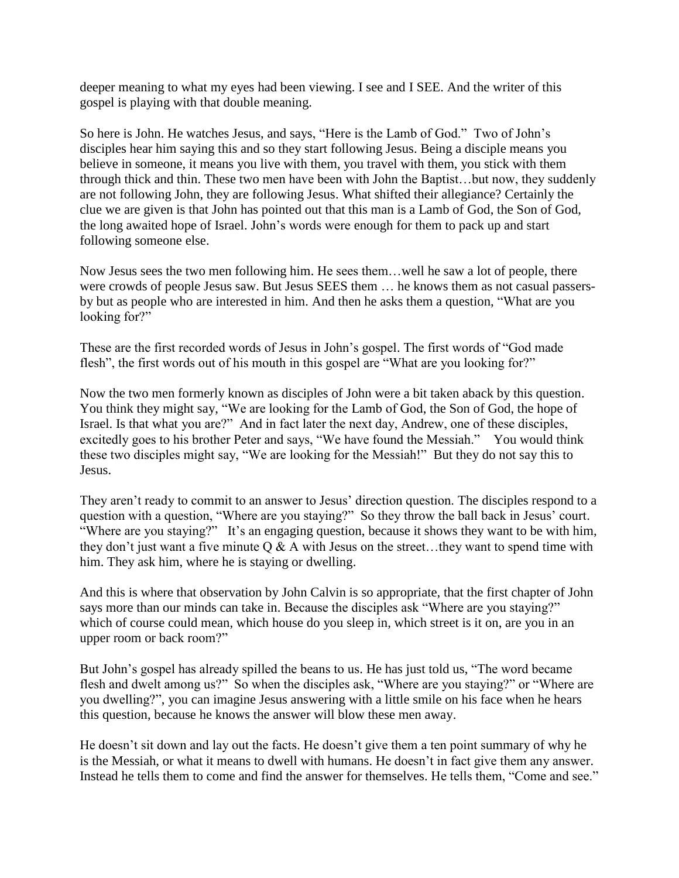deeper meaning to what my eyes had been viewing. I see and I SEE. And the writer of this gospel is playing with that double meaning.

So here is John. He watches Jesus, and says, "Here is the Lamb of God." Two of John's disciples hear him saying this and so they start following Jesus. Being a disciple means you believe in someone, it means you live with them, you travel with them, you stick with them through thick and thin. These two men have been with John the Baptist…but now, they suddenly are not following John, they are following Jesus. What shifted their allegiance? Certainly the clue we are given is that John has pointed out that this man is a Lamb of God, the Son of God, the long awaited hope of Israel. John's words were enough for them to pack up and start following someone else.

Now Jesus sees the two men following him. He sees them…well he saw a lot of people, there were crowds of people Jesus saw. But Jesus SEES them … he knows them as not casual passersby but as people who are interested in him. And then he asks them a question, "What are you looking for?"

These are the first recorded words of Jesus in John's gospel. The first words of "God made flesh", the first words out of his mouth in this gospel are "What are you looking for?"

Now the two men formerly known as disciples of John were a bit taken aback by this question. You think they might say, "We are looking for the Lamb of God, the Son of God, the hope of Israel. Is that what you are?" And in fact later the next day, Andrew, one of these disciples, excitedly goes to his brother Peter and says, "We have found the Messiah." You would think these two disciples might say, "We are looking for the Messiah!" But they do not say this to Jesus.

They aren't ready to commit to an answer to Jesus' direction question. The disciples respond to a question with a question, "Where are you staying?" So they throw the ball back in Jesus' court. "Where are you staying?" It's an engaging question, because it shows they want to be with him, they don't just want a five minute  $Q \& A$  with Jesus on the street...they want to spend time with him. They ask him, where he is staying or dwelling.

And this is where that observation by John Calvin is so appropriate, that the first chapter of John says more than our minds can take in. Because the disciples ask "Where are you staying?" which of course could mean, which house do you sleep in, which street is it on, are you in an upper room or back room?"

But John's gospel has already spilled the beans to us. He has just told us, "The word became flesh and dwelt among us?" So when the disciples ask, "Where are you staying?" or "Where are you dwelling?", you can imagine Jesus answering with a little smile on his face when he hears this question, because he knows the answer will blow these men away.

He doesn't sit down and lay out the facts. He doesn't give them a ten point summary of why he is the Messiah, or what it means to dwell with humans. He doesn't in fact give them any answer. Instead he tells them to come and find the answer for themselves. He tells them, "Come and see."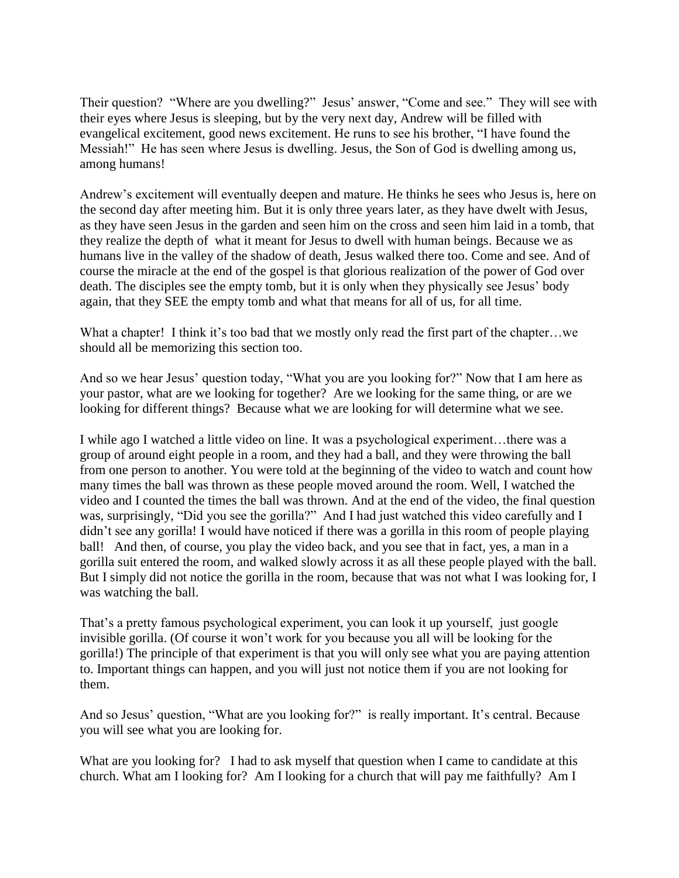Their question? "Where are you dwelling?" Jesus' answer, "Come and see." They will see with their eyes where Jesus is sleeping, but by the very next day, Andrew will be filled with evangelical excitement, good news excitement. He runs to see his brother, "I have found the Messiah!" He has seen where Jesus is dwelling. Jesus, the Son of God is dwelling among us, among humans!

Andrew's excitement will eventually deepen and mature. He thinks he sees who Jesus is, here on the second day after meeting him. But it is only three years later, as they have dwelt with Jesus, as they have seen Jesus in the garden and seen him on the cross and seen him laid in a tomb, that they realize the depth of what it meant for Jesus to dwell with human beings. Because we as humans live in the valley of the shadow of death, Jesus walked there too. Come and see. And of course the miracle at the end of the gospel is that glorious realization of the power of God over death. The disciples see the empty tomb, but it is only when they physically see Jesus' body again, that they SEE the empty tomb and what that means for all of us, for all time.

What a chapter! I think it's too bad that we mostly only read the first part of the chapter...we should all be memorizing this section too.

And so we hear Jesus' question today, "What you are you looking for?" Now that I am here as your pastor, what are we looking for together? Are we looking for the same thing, or are we looking for different things? Because what we are looking for will determine what we see.

I while ago I watched a little video on line. It was a psychological experiment…there was a group of around eight people in a room, and they had a ball, and they were throwing the ball from one person to another. You were told at the beginning of the video to watch and count how many times the ball was thrown as these people moved around the room. Well, I watched the video and I counted the times the ball was thrown. And at the end of the video, the final question was, surprisingly, "Did you see the gorilla?" And I had just watched this video carefully and I didn't see any gorilla! I would have noticed if there was a gorilla in this room of people playing ball! And then, of course, you play the video back, and you see that in fact, yes, a man in a gorilla suit entered the room, and walked slowly across it as all these people played with the ball. But I simply did not notice the gorilla in the room, because that was not what I was looking for, I was watching the ball.

That's a pretty famous psychological experiment, you can look it up yourself, just google invisible gorilla. (Of course it won't work for you because you all will be looking for the gorilla!) The principle of that experiment is that you will only see what you are paying attention to. Important things can happen, and you will just not notice them if you are not looking for them.

And so Jesus' question, "What are you looking for?" is really important. It's central. Because you will see what you are looking for.

What are you looking for? I had to ask myself that question when I came to candidate at this church. What am I looking for? Am I looking for a church that will pay me faithfully? Am I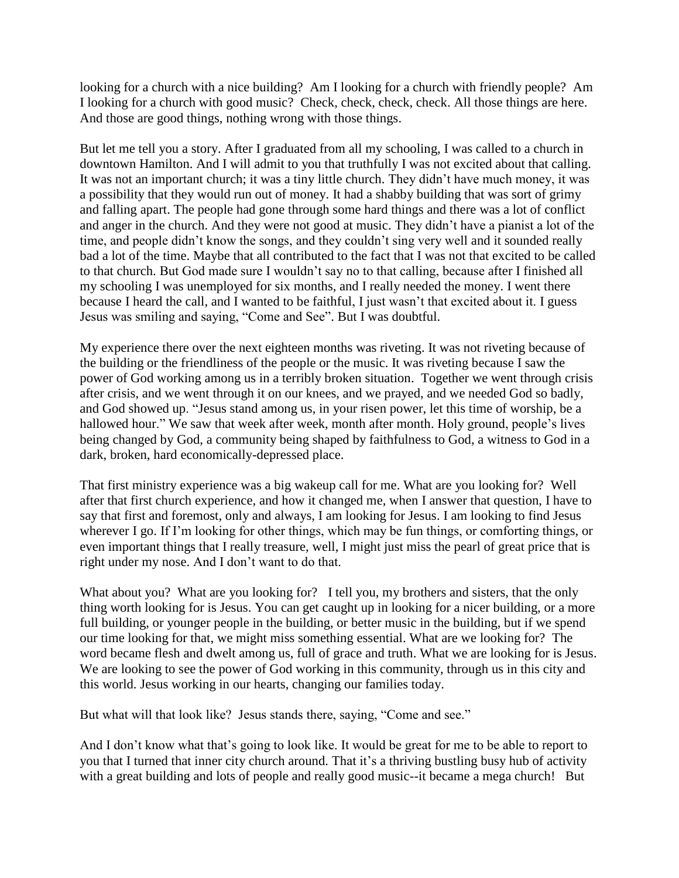looking for a church with a nice building? Am I looking for a church with friendly people? Am I looking for a church with good music? Check, check, check, check. All those things are here. And those are good things, nothing wrong with those things.

But let me tell you a story. After I graduated from all my schooling, I was called to a church in downtown Hamilton. And I will admit to you that truthfully I was not excited about that calling. It was not an important church; it was a tiny little church. They didn't have much money, it was a possibility that they would run out of money. It had a shabby building that was sort of grimy and falling apart. The people had gone through some hard things and there was a lot of conflict and anger in the church. And they were not good at music. They didn't have a pianist a lot of the time, and people didn't know the songs, and they couldn't sing very well and it sounded really bad a lot of the time. Maybe that all contributed to the fact that I was not that excited to be called to that church. But God made sure I wouldn't say no to that calling, because after I finished all my schooling I was unemployed for six months, and I really needed the money. I went there because I heard the call, and I wanted to be faithful, I just wasn't that excited about it. I guess Jesus was smiling and saying, "Come and See". But I was doubtful.

My experience there over the next eighteen months was riveting. It was not riveting because of the building or the friendliness of the people or the music. It was riveting because I saw the power of God working among us in a terribly broken situation. Together we went through crisis after crisis, and we went through it on our knees, and we prayed, and we needed God so badly, and God showed up. "Jesus stand among us, in your risen power, let this time of worship, be a hallowed hour." We saw that week after week, month after month. Holy ground, people's lives being changed by God, a community being shaped by faithfulness to God, a witness to God in a dark, broken, hard economically-depressed place.

That first ministry experience was a big wakeup call for me. What are you looking for? Well after that first church experience, and how it changed me, when I answer that question, I have to say that first and foremost, only and always, I am looking for Jesus. I am looking to find Jesus wherever I go. If I'm looking for other things, which may be fun things, or comforting things, or even important things that I really treasure, well, I might just miss the pearl of great price that is right under my nose. And I don't want to do that.

What about you? What are you looking for? I tell you, my brothers and sisters, that the only thing worth looking for is Jesus. You can get caught up in looking for a nicer building, or a more full building, or younger people in the building, or better music in the building, but if we spend our time looking for that, we might miss something essential. What are we looking for? The word became flesh and dwelt among us, full of grace and truth. What we are looking for is Jesus. We are looking to see the power of God working in this community, through us in this city and this world. Jesus working in our hearts, changing our families today.

But what will that look like? Jesus stands there, saying, "Come and see."

And I don't know what that's going to look like. It would be great for me to be able to report to you that I turned that inner city church around. That it's a thriving bustling busy hub of activity with a great building and lots of people and really good music--it became a mega church! But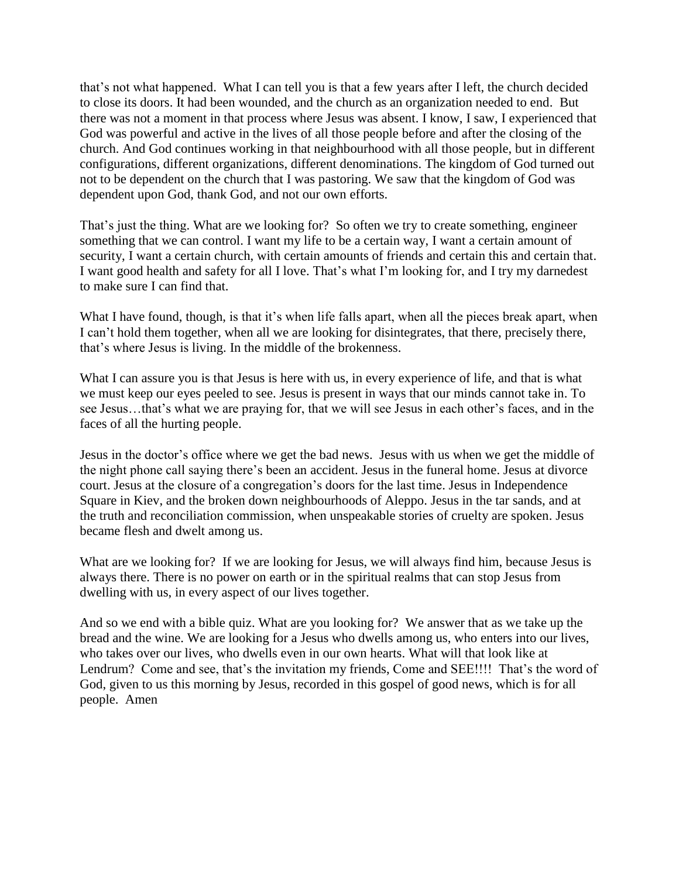that's not what happened. What I can tell you is that a few years after I left, the church decided to close its doors. It had been wounded, and the church as an organization needed to end. But there was not a moment in that process where Jesus was absent. I know, I saw, I experienced that God was powerful and active in the lives of all those people before and after the closing of the church. And God continues working in that neighbourhood with all those people, but in different configurations, different organizations, different denominations. The kingdom of God turned out not to be dependent on the church that I was pastoring. We saw that the kingdom of God was dependent upon God, thank God, and not our own efforts.

That's just the thing. What are we looking for? So often we try to create something, engineer something that we can control. I want my life to be a certain way, I want a certain amount of security, I want a certain church, with certain amounts of friends and certain this and certain that. I want good health and safety for all I love. That's what I'm looking for, and I try my darnedest to make sure I can find that.

What I have found, though, is that it's when life falls apart, when all the pieces break apart, when I can't hold them together, when all we are looking for disintegrates, that there, precisely there, that's where Jesus is living. In the middle of the brokenness.

What I can assure you is that Jesus is here with us, in every experience of life, and that is what we must keep our eyes peeled to see. Jesus is present in ways that our minds cannot take in. To see Jesus…that's what we are praying for, that we will see Jesus in each other's faces, and in the faces of all the hurting people.

Jesus in the doctor's office where we get the bad news. Jesus with us when we get the middle of the night phone call saying there's been an accident. Jesus in the funeral home. Jesus at divorce court. Jesus at the closure of a congregation's doors for the last time. Jesus in Independence Square in Kiev, and the broken down neighbourhoods of Aleppo. Jesus in the tar sands, and at the truth and reconciliation commission, when unspeakable stories of cruelty are spoken. Jesus became flesh and dwelt among us.

What are we looking for? If we are looking for Jesus, we will always find him, because Jesus is always there. There is no power on earth or in the spiritual realms that can stop Jesus from dwelling with us, in every aspect of our lives together.

And so we end with a bible quiz. What are you looking for? We answer that as we take up the bread and the wine. We are looking for a Jesus who dwells among us, who enters into our lives, who takes over our lives, who dwells even in our own hearts. What will that look like at Lendrum? Come and see, that's the invitation my friends, Come and SEE!!!! That's the word of God, given to us this morning by Jesus, recorded in this gospel of good news, which is for all people. Amen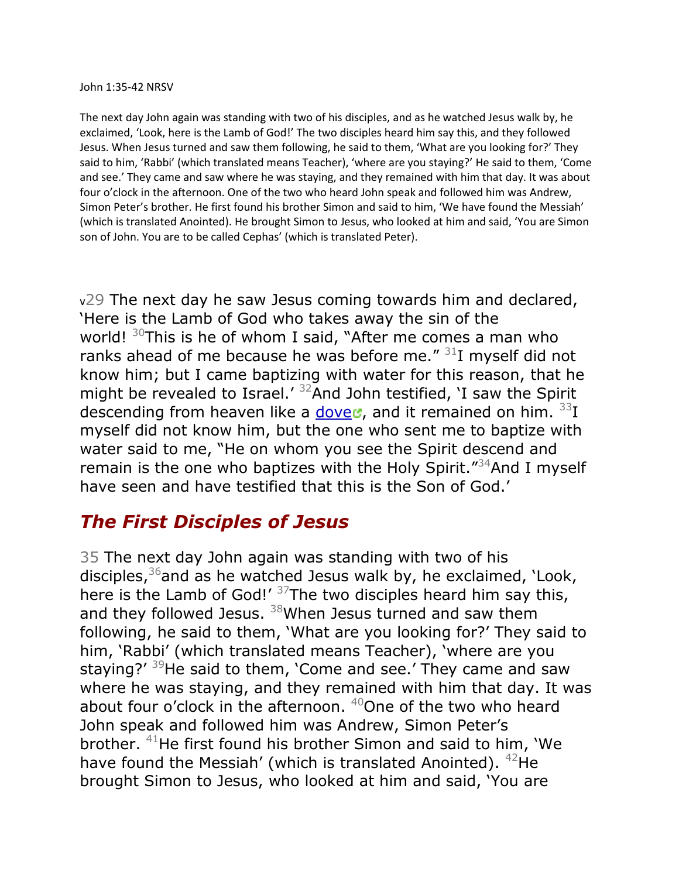The next day John again was standing with two of his disciples, and as he watched Jesus walk by, he exclaimed, 'Look, here is the Lamb of God!' The two disciples heard him say this, and they followed Jesus. When Jesus turned and saw them following, he said to them, 'What are you looking for?' They said to him, 'Rabbi' (which translated means Teacher), 'where are you staying?' He said to them, 'Come and see.' They came and saw where he was staying, and they remained with him that day. It was about four o'clock in the afternoon. One of the two who heard John speak and followed him was Andrew, Simon Peter's brother. He first found his brother Simon and said to him, 'We have found the Messiah' (which is translated Anointed). He brought Simon to Jesus, who looked at him and said, 'You are Simon son of John. You are to be called Cephas' (which is translated Peter).

v29 The next day he saw Jesus coming towards him and declared, 'Here is the Lamb of God who takes away the sin of the world!  $30$ This is he of whom I said, "After me comes a man who ranks ahead of me because he was before me."  $31$  myself did not know him; but I came baptizing with water for this reason, that he might be revealed to Israel.<sup> $32$ </sup>And John testified, 'I saw the Spirit descending from heaven like a [dove](http://bible.oremus.org/)d, and it remained on him.  $33I$ myself did not know him, but the one who sent me to baptize with water said to me, "He on whom you see the Spirit descend and remain is the one who baptizes with the Holy Spirit."<sup>34</sup>And I myself have seen and have testified that this is the Son of God.'

## *The First Disciples of Jesus*

35 The next day John again was standing with two of his disciples,  $36$  and as he watched Jesus walk by, he exclaimed, 'Look, here is the Lamb of God!'  $37$ The two disciples heard him say this, and they followed Jesus.  $38$ When Jesus turned and saw them following, he said to them, 'What are you looking for?' They said to him, 'Rabbi' (which translated means Teacher), 'where are you staying?' <sup>39</sup>He said to them, 'Come and see.' They came and saw where he was staying, and they remained with him that day. It was about four o'clock in the afternoon.  $40$ One of the two who heard John speak and followed him was Andrew, Simon Peter's brother. <sup>41</sup>He first found his brother Simon and said to him, 'We have found the Messiah' (which is translated Anointed). <sup>42</sup>He brought Simon to Jesus, who looked at him and said, 'You are